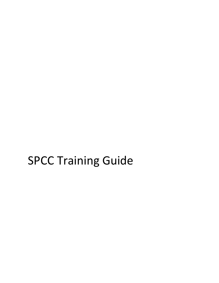# SPCC Training Guide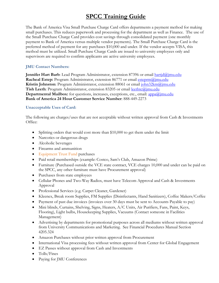# **SPCC Training Guide**

The Bank of America Visa Small Purchase Charge Card offers departments a payment method for making small purchases. This reduces paperwork and processing for the department as well as Finance. The use of the Small Purchase Charge Card provides cost savings through consolidated payment (one monthly payment to Bank of America versus multiple vendor payments). The Small Purchase Charge Card is the preferred method of payment for any purchases \$10,000 and under. If the vendor accepts VISA, this method must be utilized. Small Purchase Charge Cards are issued to university employees only and supervisors are required to confirm applicants are active university employees.

#### **JMU Contact Numbers:**

**Jennifer Hart Barb**: Lead Program Administrator, extension 87396 or email [hartjd@jmu.edu](mailto:hartjd@jmu.edu) **Racheal Estep:** Program Administrator, extension 86771 or email [esteprm@jmu.edu](mailto:esteprm@jmu.edu) **Kristin Johnston**: Program Administrator, extension 88061 or email [john32km@jmu.edu](mailto:john32km@jmu.edu) **Tish Leeth**: Program Administrator, extension 83205 or email [leethtc@jmu.edu](mailto:leethtc@jmu.edu) **Departmental Mailbox:** for questions, increases, exceptions, etc., email: **appa@jmu.edu Bank of America 24 Hour Customer Service Number**: 888-449-2273

#### **Unacceptable Uses of Card:**

The following are charges/uses that are not acceptable without written approval from Cash & Investments Office:

- Splitting orders that would cost more than \$10,000 to get them under the limit
- Narcotics or dangerous drugs
- Alcoholic beverages
- Firearms and ammunition
- Equipment Trust Fund purchases
- Paid retail memberships (example: Costco, Sam's Club, Amazon Prime)
- Furniture (Purchased outside the VCE state contract, VCE charges 10,000 and under can be paid on the SPCC, any other furniture must have Procurement approval)
- Purchases from state employees
- Cellular Phones and Two-Way Radios, must have Telecom Approval and Cash & Investments Approval
- Professional Services (e.g. Carpet Cleaner, Gardener)
- Kleenex, Break room Supplies, FM Supplies (Disinfectants, Hand Sanitizers), Coffee Makers/Coffee
- Payment of past due invoices (invoices over 30 days must be sent to Accounts Payable to pay)
- Mini blinds, Curtains, Shelving, Signs, Heaters, A/C Units, Air Purifiers, Fans, Paint, Keys, Flooring), Light bulbs, Housekeeping Supplies, Vacuums (Contact someone in Facilities Management)
- Advertising by departments for promotional purposes across all mediums without written approval from University Communications and Marketing. See Financial Procedures Manual Section 4205.324
- Amazon Purchases without prior written approval from Procurement
- International Visa processing fees without written approval from Center for Global Engagement
- EZ Passes without approval from Cash and Investments
- Tolls/Fines
- Paying for JMU Conferences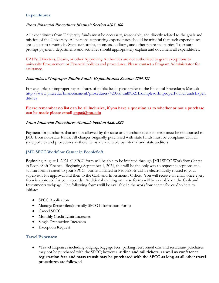#### **Expenditures:**

#### **From Financial Procedures Manual: Section 4205 .100**

All expenditures from University funds must be necessary, reasonable, and directly related to the goals and mission of the University. All persons authorizing expenditures should be mindful that such expenditures are subject to scrutiny by State authorities, sponsors, auditors, and other interested parties. To ensure prompt payment, departments and activities should appropriately explain and document all expenditures.

UAH's, Directors, Deans, or other Approving Authorities are not authorized to grant exceptions to university Procurement or Financial policies and procedures. Please contact a Program Administrator for assistance.

# **Examples of Improper Public Funds Expenditures: Section 4205.321**

For examples of improper expenditures of public funds please refer to the Financial Procedures Manual: [http://www.jmu.edu/financemanual/procedures/4205.shtml#.321ExamplesofImproperPublicFundsExpen](http://www.jmu.edu/financemanual/procedures/4205.shtml#.321ExamplesofImproperPublicFundsExpenditures) [ditures](http://www.jmu.edu/financemanual/procedures/4205.shtml#.321ExamplesofImproperPublicFundsExpenditures)

**Please remember no list can be all inclusive, if you have a question as to whether or not a purchase can be made please email [appa@jmu.edu](mailto:appa@jmu.edu)** 

#### **From Financial Procedures Manual: Section 4220 .820**

Payment for purchases that are not allowed by the state or a purchase made in error must be reimbursed to JMU from non-state funds. All charges originally purchased with state funds must be compliant with all state policies and procedures as these items are auditable by internal and state auditors.

# **JMU SPCC Workflow Center in PeopleSoft**

Beginning August 1, 2021 all SPCC form will be able to be initiated through JMU SPCC Workflow Center in PeopleSoft Finance. Beginning September 1, 2021, this will be the only way to request exceptions and submit forms related to your SPCC. Forms initiated in PeopleSoft will be electronically routed to your supervisor for approval and then to the Cash and Investments Office. You will receive an email once every from is approved for your records. Additional training on these forms will be available on the Cash and Investments webpage. The following forms will be available in the workflow center for cardholders to initiate:

- SPCC Application
- Manage Reconcilers(formally SPCC Information Form)
- Cancel SPCC
- Monthly Credit Limit Increases
- Single Transaction Increases
- **Exception Request**

#### **Travel Expenses:**

• \*Travel Expenses including lodging, baggage fees, parking fees, rental cars and restaurant purchases may not be purchased with the SPCC; however, **airline and rail tickets, as well as conference registration fees and mass transit may be purchased with the SPCC as long as all other travel procedures are followed**.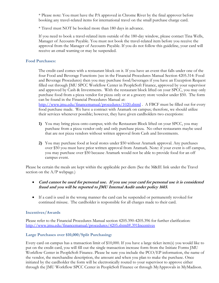\* Please note: You must have the PA approved in Chrome River by the final approver before booking any travel-related items for international travel on the small purchase charge card.

\* Travel must NOT be booked more than 180 days in advance.

If you need to book a travel-related item outside of the 180-day window, please contact Tina Wells, Manager of Accounts Payable. You must not book the travel-related item before you receive the approval from the Manager of Accounts Payable. If you do not follow this guideline, your card will receive an email warning or may be suspended.

#### **Food Purchases:**

The credit card comes with a restaurant block on it. If you have an event that falls under one of the four Food and Beverage Functions (see in the Financial Procedures Manual Section 4205.314: Food and Beverage Procedures) then you may purchase food/beverages if you have an Exception Request filled out through JMU SPCC Workflow Center in PeopleSoft Finance, approved by your supervisor and approved by Cash & Investments. With the restaurant block lifted on your SPCC, you may only purchase food from a pizza vendor for pizza only or at a grocery store vendor under \$50. The form can be found in the Financial Procedures Manual at:

<http://www.jmu.edu/financemanual/procedures/1020.shtml> . A FBCF must be filled out for every food purchase made. We have a contract with Aramark on campus; therefore, we should utilize their services whenever possible; however, they have given cardholders two exceptions:

- **1)** You may bring pizza onto campus; with the Restaurant Block lifted on your SPCC, you may purchase from a pizza vendor only and only purchase pizza. No other restaurants maybe used that are not pizza vendors without written approval from Cash and Investments.
- **2)** You may purchase food at local stores under \$50 without Aramark approval. Any purchases over \$50 you must have prior written approval from Aramark. Note: if your event is off campus, you may purchase over \$50 because Aramark would not be able to provide food for an off campus event.

Please be certain the meals are kept within the applicable per diem (See the M&IE link under the Travel section on the  $A/P$  webpage.)

- **Card cannot be used for personal use. If you use your card for personal use it is considered fraud and you will be reported to JMU Internal Audit under policy 1603.**
- If a card is used in the wrong manner the card can be suspended or permanently revoked for continued misuse. The cardholder is responsible for all charges made to their card.

# **Incentives/Awards**

Please refer to the Financial Procedures Manual section 4205.390-4205.396 for further clarification: <http://www.jmu.edu/financemanual/procedures/4205.shtml#.391Incentives>

# **Large Purchases over \$10,000/Split Purchasing:**

Every card on campus has a transaction limit of \$10,000. If you have a large ticket item(s) you would like to put on the credit card, you will fill out the single transaction increase form from the Initiate Forms JMU Workflow Center in PeopleSoft Finance. Please be sure you include the PCO/EP information, the name of the vendor, the merchandise description, the amount and when you plan to make the purchase. Once initiated by the cardholder the form will be electronically routed to your supervisor to approve either through the JMU Workflow SPCC Center in PeopleSoft Finance or through MyApprovals in MyMadison.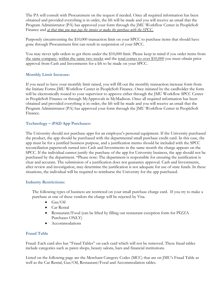The PA will consult with Procurement on the request if needed. Once all required information has been obtained and provided everything is in order, the lift will be made and you will receive an email that the Program Administrator (PA) has approved your form through the JMU Workflow Center in PeopleSoft Finance and *at that time you may pay the invoice or make the purchase with the SPCC.*

Purposely circumventing the \$10,000 transaction limit on your SPCC to purchase items that should have gone through Procurement first can result in suspension of your SPCC.

You may never split orders to get them under the \$10,000 limit. Please keep in mind if you order items from the same company, within the same two weeks and the total comes to over \$10,000 you must obtain prior approval from Cash and Investments for a lift to be made on your SPCC.

# **Monthly Limit Increase:**

If you need to have your monthly limit raised, you will fill out the monthly transaction increase form from the Initiate Forms JMU Workflow Center in PeopleSoft Finance. Once initiated by the cardholder the form will be electronically routed to your supervisor to approve either through the JMU Workflow SPCC Center in PeopleSoft Finance or through MyApprovals in MyMadison. Once all required information has been obtained and provided everything is in order, the lift will be made and you will receive an email that the Program Administrator (PA) has approved your form through the JMU Workflow Center in PeopleSoft Finance.

# **Technology – iPAD App Purchases:**

The University should not purchase apps for an employee's personal equipment. If the University purchased the product, the app should be purchased with the departmental small purchase credit card. In this case, the app must be for a justified business purpose, and a justification memo should be included with the SPCC reconciliation paperwork turned into Cash and Investments in the same month the charge appears on the SPCC. If the individual cannot justify the purchase of the app for University business, the app should not be purchased by the department. \*Please note: The department is responsible for ensuring the justification is clear and accurate. The submission of a justification does not guarantee approval. Cash and Investments, after review and investigation, may determine the justification is not adequate for use of state funds. In these situations, the individual will be required to reimburse the University for the app purchased.

#### **Industry Restrictions:**

The following types of business are restricted on your small purchase charge card. If you try to make a purchase at one of these vendors the charge will be rejected by Visa.

- $\bullet$  Gas/Oil
- Car Rental
- Restaurant/Food (can be lifted by filling out restaurant exception form for PIZZA Purchases ONLY)
- Accommodations

# **Fraud Table**

Fraud: Each card also has "Fraud Tables" on each card which will not be removed. These fraud tables include categories such as pawn shops, beauty salons, bars and financial institutions.

Listed on the following page are the Merchant Category Codes (MCC) that are on JMU's Fraud Table as well as the Car Rental, Gas/Oil, Restaurant/Food and Accommodation tables.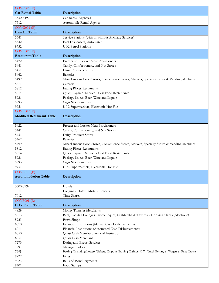| $COVC001$ $(E)$                  |                                                                                                          |
|----------------------------------|----------------------------------------------------------------------------------------------------------|
| <b>Car Rental Table</b>          | Description                                                                                              |
| 3350-3499                        | Car Rental Agencies                                                                                      |
| 7512                             | Automobile Rental Agency                                                                                 |
| $COVG001$ $(E)$                  |                                                                                                          |
| Gas/Oil Table                    | Description                                                                                              |
| 5541                             | Service Stations (with or without Ancillary Services)                                                    |
| 5542                             | Fuel Dispensers, Automated                                                                               |
| 9752                             | <b>U.K. Petrol Stations</b>                                                                              |
| $COVR001$ $(E)$                  |                                                                                                          |
| <b>Restaurant Table</b>          | Description                                                                                              |
| 5422                             | Freezer and Locker Meat Provisioners                                                                     |
| 5441                             | Candy, Confectionery, and Nut Stores                                                                     |
| 5451                             | Dairy Products Stores                                                                                    |
| 5462                             | <b>Bakeries</b>                                                                                          |
| 5499                             | Miscellaneous Food Stores, Convenience Stores, Markets, Specialty Stores & Vending Machines              |
| 5811                             | Caterers                                                                                                 |
| 5812                             | Eating Places-Restaurants                                                                                |
| 5814                             | Quick Payment Service - Fast Food Restaurants                                                            |
| 5921                             | Package Stores, Beer, Wine and Liquor                                                                    |
| 5993                             | Cigar Stores and Stands                                                                                  |
| 9751                             | U.K. Supermarkets, Electronic Hot File                                                                   |
| $COVR002$ (E)                    |                                                                                                          |
| <b>Modified Restaurant Table</b> | Description                                                                                              |
| 5422                             | Freezer and Locker Meat Provisioners                                                                     |
| 5441                             | Candy, Confectionery, and Nut Stores                                                                     |
| 5451                             | Dairy Products Stores                                                                                    |
| 5462                             | <b>Bakeries</b>                                                                                          |
| 5499                             | Miscellaneous Food Stores, Convenience Stores, Markets, Specialty Stores & Vending Machines              |
| 5812                             | <b>Eating Places-Restaurants</b>                                                                         |
| 5814                             | Quick Payment Service - Fast Food Restaurants                                                            |
| 5921                             | Package Stores, Beer, Wine and Liquor                                                                    |
| 5993                             | Cigar Stores and Stands                                                                                  |
| 9751                             | U.K. Supermarkets, Electronic Hot File                                                                   |
| $COVA001$ $(E)$                  |                                                                                                          |
| <b>Accommodation Table</b>       | Description                                                                                              |
|                                  |                                                                                                          |
| 3500-3999                        | Hotels                                                                                                   |
| 7011                             | Lodging - Hotels, Motels, Resorts                                                                        |
| 7012                             | Time Shares                                                                                              |
| $COVF001$ $(E)$                  |                                                                                                          |
| <b>COV Fraud Table</b>           | Description                                                                                              |
| 4829                             | Money Transfer Merchants                                                                                 |
| 5813                             | Bars, Cocktail Lounges, Discotheques, Nightclubs & Taverns - Drinking Places (Alcoholic)                 |
| 5933                             | Pawn Shops                                                                                               |
| 6010                             | Financial Institutions (Manual Cash Disbursements)                                                       |
| 6011                             | Financial Institutions (Automated Cash Disbursements)                                                    |
| 6050                             | Quasi Cash Member Financial Institution                                                                  |
| 6051                             | Quasi Cash Merchant                                                                                      |
| 7273                             | Dating and Escort Services                                                                               |
| 7297                             | Massage Parlors                                                                                          |
| 7995                             | Betting (Including Lottery Tickets, Chips at Gaming Casinos, Off - Track Betting & Wagers at Race Tracks |
| 9222                             | Fines                                                                                                    |
| 9223                             | Bail and Bond Payments                                                                                   |
| 9401                             | Food Stamps                                                                                              |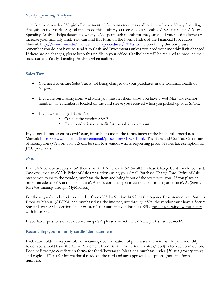# **Yearly Spending Analysis:**

The Commonwealth of Virginia Department of Accounts requires cardholders to have a Yearly Spending Analysis on file, yearly. A good time to do this is after you receive your monthly VISA statement. A Yearly Spending Analysis helps determine what you've spent each month for the year and if you need to lower or increase your monthly limit. You can find this form on the Forms Index of the Financial Procedures Manual:<http://www.jmu.edu/financemanual/procedures/1020.shtml> Upon filling this out please remember you do not have to send it to Cash and Investments unless you need your monthly limit changed. If there are no changes, please keep this on file in your office. Cardholders will be required to produce their most current Yearly Spending Analysis when audited.

# **Sales Tax:**

- You need to ensure Sales Tax is not being charged on your purchases in the Commonwealth of Virginia.
- If you are purchasing from Wal-Mart you must let them know you have a Wal-Mart tax-exempt number. The number is located on the card sleeve you received when you picked up your SPCC.
- If you were charged Sales Tax:
	- Contact the vendor ASAP
	- Have vendor issue a credit for the sales tax amount

If you need a **tax-exempt certificate**, it can be found in the forms index of the Financial Procedures Manual: [https://www.jmu.edu/financemanual/procedures/1020.shtml.](https://www.jmu.edu/financemanual/procedures/1020.shtml) The Sales and Use Tax Certificate of Exemption (VA Form ST-12) can be sent to a vendor who is requesting proof of sales tax exemption for JMU purchases.

# **eVA:**

If an eVA vendor accepts VISA then a Bank of America VISA Small Purchase Charge Card should be used. One exclusion to eVA is Point of Sale transactions using your Small Purchase Charge Card. Point of Sale means you to go to the vendor, purchase the item and bring it out of the store with you. If you place an order outside of eVA and it is not an eVA exclusion then you must do a confirming order in eVA. (Sign up for eVA training through MyMadison)

For those goods and services excluded from eVA by Section 14.9.b of the Agency Procurement and Surplus Property Manual (APSPM) and purchased via the internet, not through eVA, the vendor must have a Secure Socket Layer (SSL) Version 2.0 or greater. To ensure the vendor has a SSL, the address window must start with https://.

If you have questions directly concerning eVA please contact the eVA Help Desk at 568-4382.

# **Reconciling your monthly cardholder statement:**

Each Cardholder is responsible for retaining documentation of purchases and returns. In your monthly folder you should have the Memo Statement from Bank of America, invoices/receipts for each transaction, Food & Beverage certification forms for food/beverages (pizza or a purchase under \$50 at a grocery store) and copies of PA's for international made on the card and any approved exceptions (note the form number).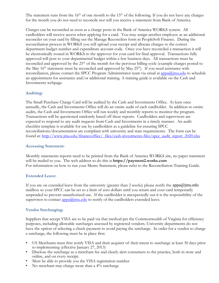The statement runs from the  $16<sup>th</sup>$  of one month to the  $15<sup>th</sup>$  of the following. If you do not have any charges for the month you do not need to reconcile nor will you receive a statement from Bank of America.

Charges can be reconciled as soon as a charge posts in the Bank of America WORKS system. All cardholders will receive access when applying for a card. You may assign another employee as an additional reconciler on your card by filling out the Manage Reconcilers form in PeopleSoft Finance. During the reconciliation process in WORKS you will upload your receipt and allocate charges to the correct department budget number and expenditure account code. Once you have reconciled a transaction it will be electronically routed in WORKS to the approver for your card for final approval. Transactions fully approved will post to your departmental budget within a few business days. All transactions must be reconciled and approved by the  $25<sup>th</sup>$  of the month for the pervious billing cycle (example charges posted to the May  $16<sup>th</sup>$  statement must be reconciled and approved by May  $25<sup>th</sup>$ ). If you need assistance with reconciliation, please contact the SPCC Program Administrator team via email at [appa@jmu.edu](mailto:appa@jmu.edu) to schedule an appointment for assistance and/or additional training. A training guide is available on the Cash and Investments webpage.

#### **Auditing:**

The Small Purchase Charge Card will be audited by the Cash and Investments Office. At least once annually, the Cash and Investments Office will do an onsite audit of each cardholder. In addition to onsite audits, the Cash and Investments Office will run weekly and monthly reports to monitor the program. Transactions will be questioned randomly based off these reports. Cardholders and supervisors are expected to respond to any audit requests from Cash and Investments in a timely manner. An audit checklist template is available for use by cardholders as a guideline for ensuring SPCC reconciliations/documentation are compliant with university and state requirements. The form can be found at: [http://www.jmu.edu/financeoffice/\\_files/cash-investments-files/spcc\\_audit\\_report\\_2020.xlsx](http://www.jmu.edu/financeoffice/_files/cash-investments-files/spcc_audit_report_2020.xlsx)

#### **Accessing Statement:**

Monthly statements reports need to be printed from the Bank of America WORKS site, no paper statement will be mailed to you. The web address to do this is **https://payment2.works.com** For information on how to run your Memo Statement, please refer to the Reconciliation Training Guide.

#### **Extended Leave:**

If you are on extended leave from the university (greater than 2 weeks) please notify the [appa@jmu.edu](mailto:appa@jmu.edu) mailbox so your SPCC can be set to a limit of zero dollars until you return and your card temporarily suspended to prevent unauthorized use. If the cardholder is unexpectedly out it is the responsibility of the supervisor to contact  $\frac{\text{appa}(a)\text{imu.edu}}{\text{nu.edu}}$  to notify of the cardholders extended leave.

#### **Vendor Surcharging:**

Suppliers that accept VISA are to be paid via that method per the Commonwealth of Virginia for efficiency purposes, including allowable surcharges assessed by registered vendors. University departments do not have the option of selecting a check payment to avoid paying the surcharge. In order for a vendor to charge a surcharge, the following must be in place first:

- US Merchants must first notify VISA and their acquirer of their intent to surcharge at least 30 days prior to implementing (effective January 27, 2013)
- Disclose the surcharge as a merchant fee and clearly alert consumers to the practice, both in store and online, and on every receipt.
- Must be able to provide you the VISA registration number
- No merchant may charge more than a 4% surcharge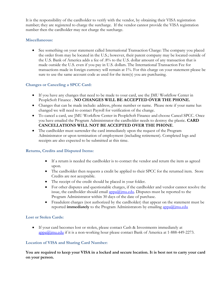It is the responsibility of the cardholder to verify with the vendor, by obtaining their VISA registration number; they are registered to charge the surcharge. If the vendor cannot provide the VISA registration number then the cardholder may not charge the surcharge.

# **Miscellaneous:**

 See something on your statement called International Transaction Charge: The company you placed the order from may be located in the U.S.; however, their parent company may be located outside of the U.S. Bank of America adds a fee of .8% to the U.S. dollar amount of any transaction that is made outside the U.S. even if you pay in U.S. dollars. The International Transaction Fee for transactions made in foreign currency will remain at 1%. For this charge on your statement please be sure to use the same account code as used for the item(s) you are purchasing.

# **Changes or Canceling a SPCC Card:**

- If you have any changes that need to be made to your card, use the JMU Workflow Center in PeopleSoft Finance . **NO CHANGES WILL BE ACCEPTED OVER THE PHONE.**
- Changes that can be made include: address, phone number or name. Please note if your name has changed we will need to contact Payroll for verification of the change.
- To cancel a card, use JMU Workflow Center in PeopleSoft Finance and choose Cancel SPCC. Once you have emailed the Program Administrator the cardholder needs to destroy the plastic. **CARD CANCELLATIONS WILL NOT BE ACCEPTED OVER THE PHONE**.
- The cardholder must surrender the card immediately upon the request of the Program Administrator or upon termination of employment (including retirement). Completed logs and receipts are also expected to be submitted at this time.

# **Returns, Credits and Disputed Items:**

- If a return is needed the cardholder is to contact the vendor and return the item as agreed upon.
- The cardholder then requests a credit be applied to their SPCC for the returned item. Store Credits are not acceptable.
- The receipt of the credit should be placed in your folder.
- For other disputes and questionable charges, if the cardholder and vendor cannot resolve the issue, the cardholder should email  $\frac{\text{appa}(a)}{\text{imu.edu}}$ . Disputes must be reported to the Program Administrator within 30 days of the date of purchase.
- Fraudulent charges (not authorized by the cardholder) that appear on the statement must be reported **immediately** to the Program Administrators by emailing **appa**@jmu.edu

# **Lost or Stolen Cards:**

 If your card becomes lost or stolen, please contact Cash & Investments immediately at  $appa@jmu.edu$  if it is a non-working hour please contact Bank of America at 1-888-449-2273.

# **Location of VISA and Sharing Card Number:**

**You are required to keep your VISA in a locked and secure location. It is best not to carry your card on your person.**